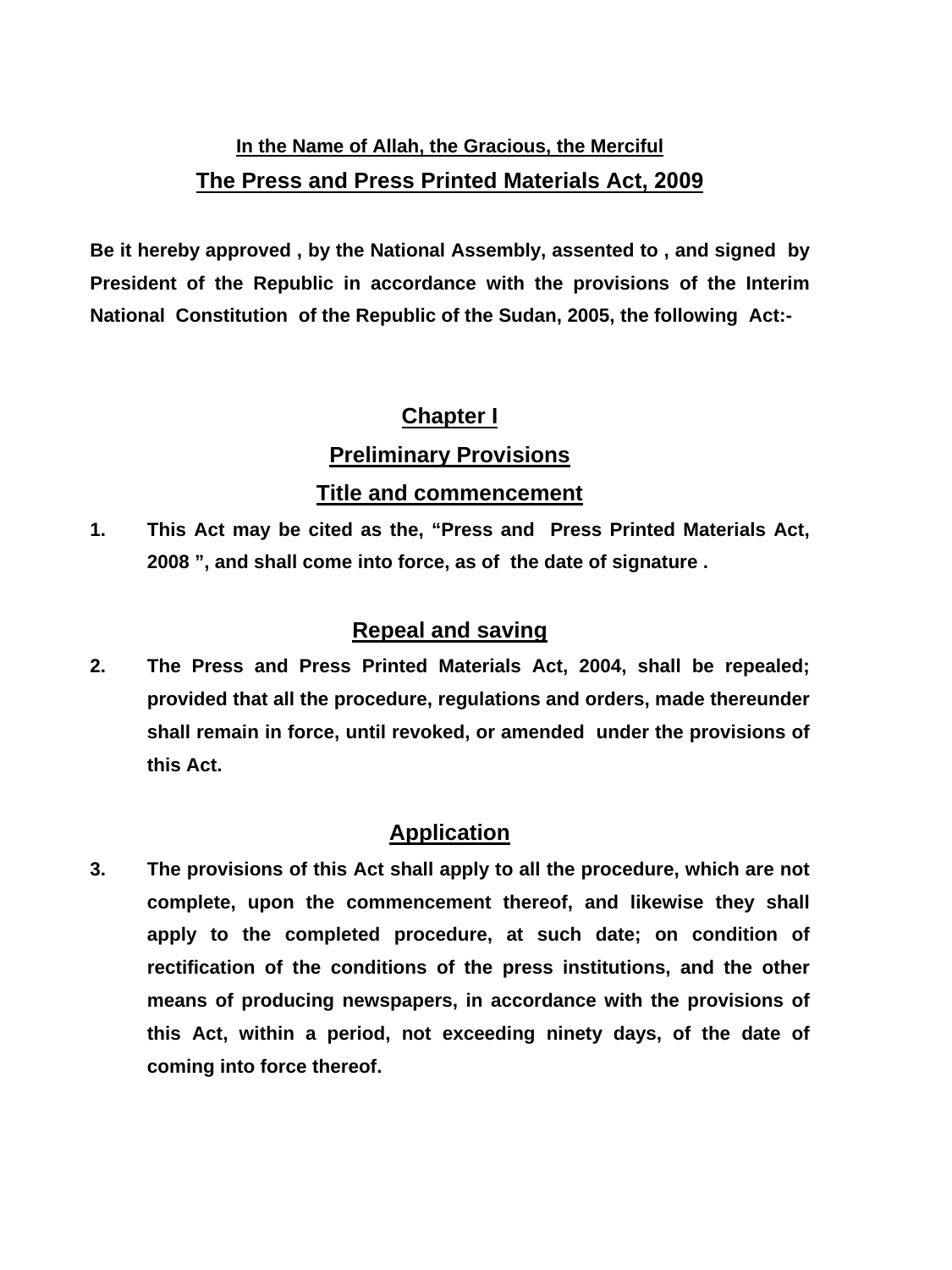# **In the Name of Allah, the Gracious, the Merciful The Press and Press Printed Materials Act, 2009**

**Be it hereby approved , by the National Assembly, assented to , and signed by President of the Republic in accordance with the provisions of the Interim National Constitution of the Republic of the Sudan, 2005, the following Act:-** 

# **Chapter I**

# **Preliminary Provisions**

## **Title and commencement**

**1. This Act may be cited as the, "Press and Press Printed Materials Act, 2008 ", and shall come into force, as of the date of signature .** 

# **Repeal and saving**

**2. The Press and Press Printed Materials Act, 2004, shall be repealed; provided that all the procedure, regulations and orders, made thereunder shall remain in force, until revoked, or amended under the provisions of this Act.** 

# **Application**

**3. The provisions of this Act shall apply to all the procedure, which are not complete, upon the commencement thereof, and likewise they shall apply to the completed procedure, at such date; on condition of rectification of the conditions of the press institutions, and the other means of producing newspapers, in accordance with the provisions of this Act, within a period, not exceeding ninety days, of the date of coming into force thereof.**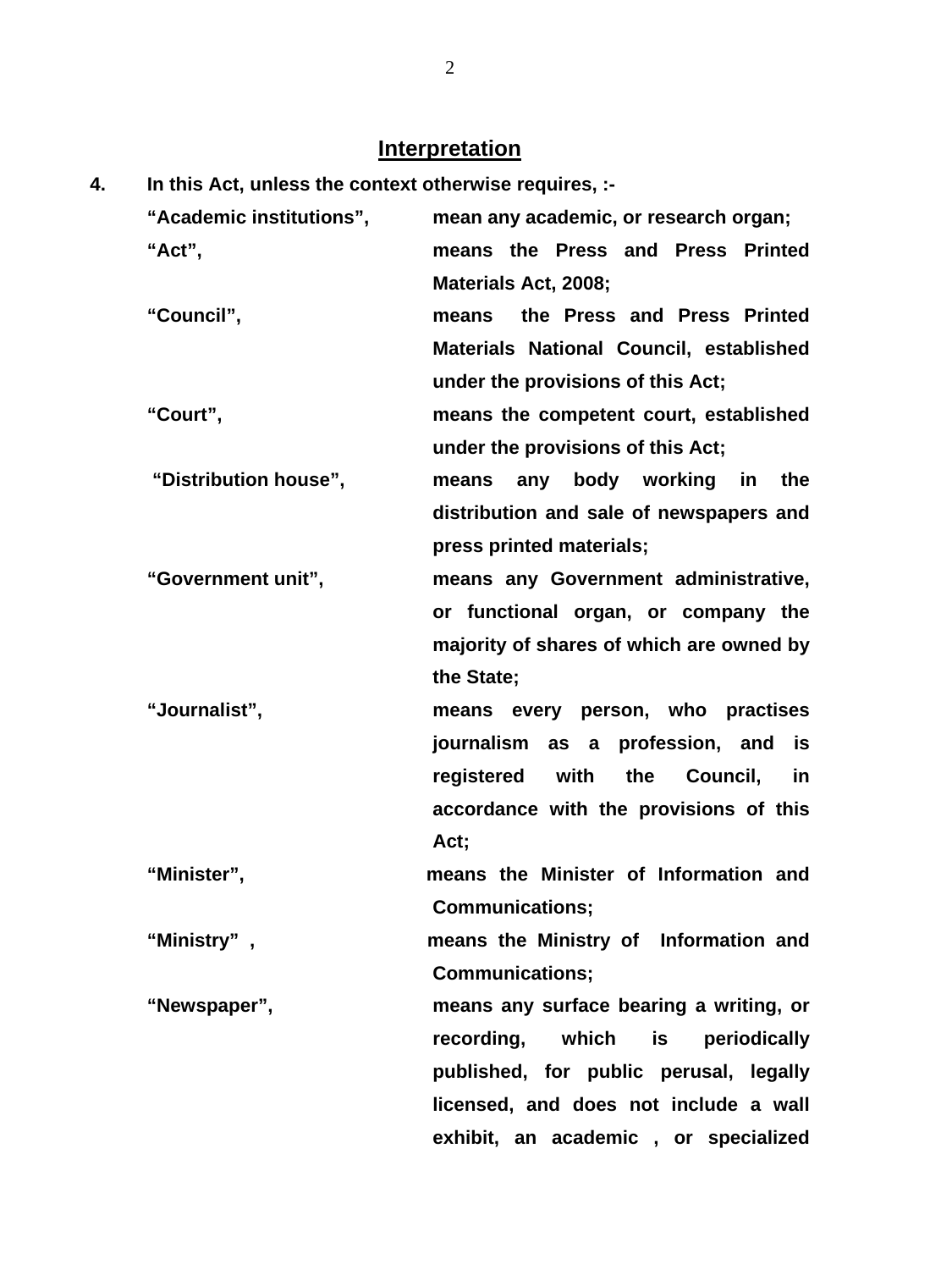# **Interpretation**

| 4. | In this Act, unless the context otherwise requires, :- |                                                 |
|----|--------------------------------------------------------|-------------------------------------------------|
|    | "Academic institutions",                               | mean any academic, or research organ;           |
|    | "Act",                                                 | means the Press and Press Printed               |
|    |                                                        | Materials Act, 2008;                            |
|    | "Council",                                             | the Press and Press Printed<br>means            |
|    |                                                        | Materials National Council, established         |
|    |                                                        | under the provisions of this Act;               |
|    | "Court",                                               | means the competent court, established          |
|    |                                                        | under the provisions of this Act;               |
|    | "Distribution house",                                  | any body working in<br>the<br>means             |
|    |                                                        | distribution and sale of newspapers and         |
|    |                                                        | press printed materials;                        |
|    | "Government unit",                                     | means any Government administrative,            |
|    |                                                        | or functional organ, or company the             |
|    |                                                        | majority of shares of which are owned by        |
|    |                                                        | the State;                                      |
|    | "Journalist",                                          | means every person, who practises               |
|    |                                                        | journalism as a<br>profession, and<br>is        |
|    |                                                        | registered with<br>the<br>Council,<br><u>in</u> |
|    |                                                        | accordance with the provisions of this          |
|    |                                                        | Act;                                            |
|    | "Minister",                                            | means the Minister of Information and           |
|    |                                                        | <b>Communications;</b>                          |
|    | "Ministry",                                            | means the Ministry of Information and           |
|    |                                                        | <b>Communications;</b>                          |
|    | "Newspaper",                                           | means any surface bearing a writing, or         |
|    |                                                        | recording, which is<br>periodically             |
|    |                                                        | published, for public perusal, legally          |
|    |                                                        | licensed, and does not include a wall           |
|    |                                                        | exhibit, an academic, or specialized            |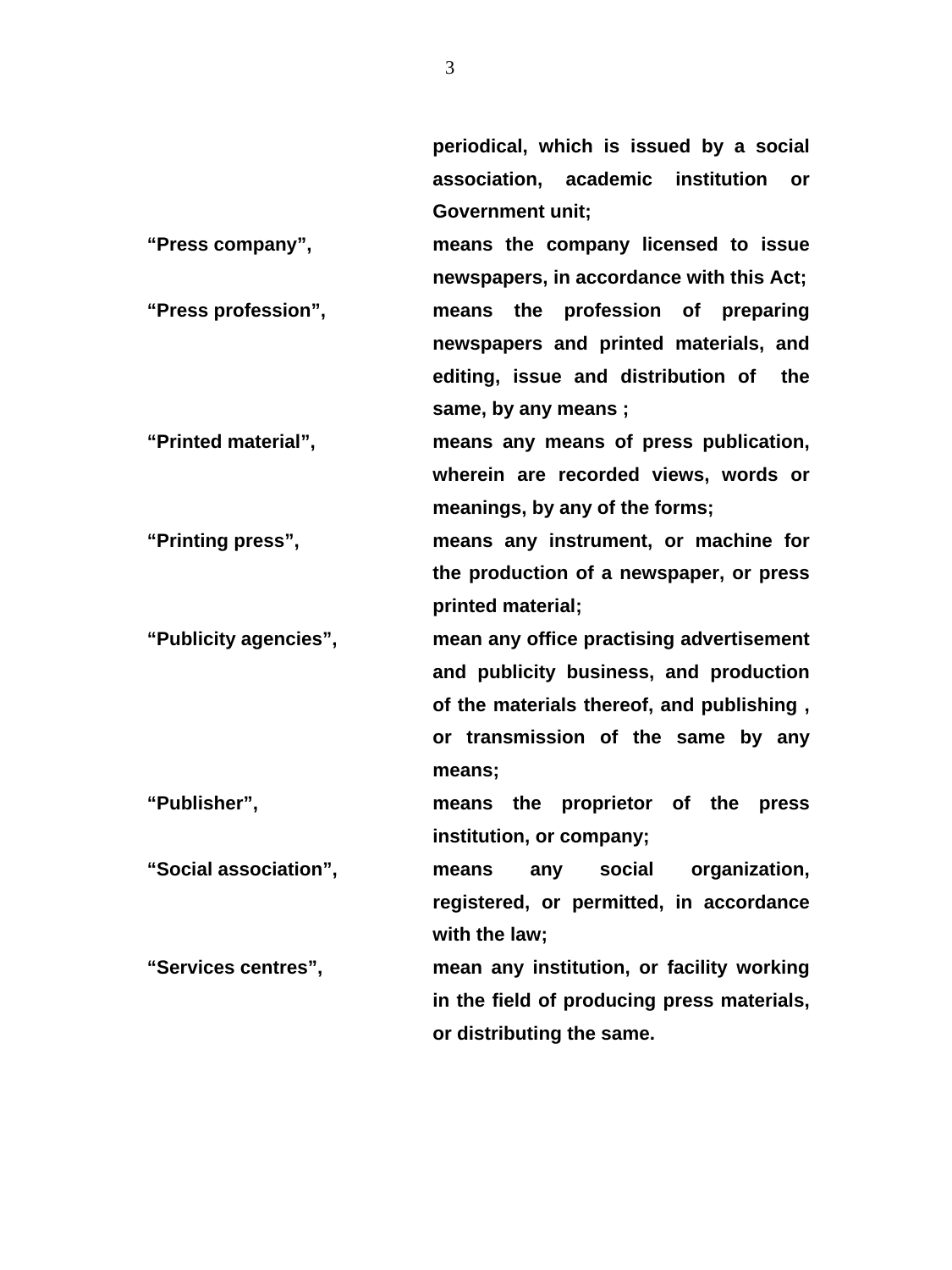**periodical, which is issued by a social association, academic institution or Government unit;** 

- **"Press company", means the company licensed to issue newspapers, in accordance with this Act; "Press profession", means the profession of preparing newspapers and printed materials, and editing, issue and distribution of the same, by any means ;**
- **"Printed material", means any means of press publication, wherein are recorded views, words or meanings, by any of the forms;**

**"Printing press", means any instrument, or machine for the production of a newspaper, or press printed material;** 

**"Publicity agencies", mean any office practising advertisement and publicity business, and production of the materials thereof, and publishing , or transmission of the same by any means;** 

**"Publisher", means the proprietor of the press institution, or company;** 

**"Social association", means any social organization, registered, or permitted, in accordance with the law;** 

**"Services centres", mean any institution, or facility working in the field of producing press materials, or distributing the same.**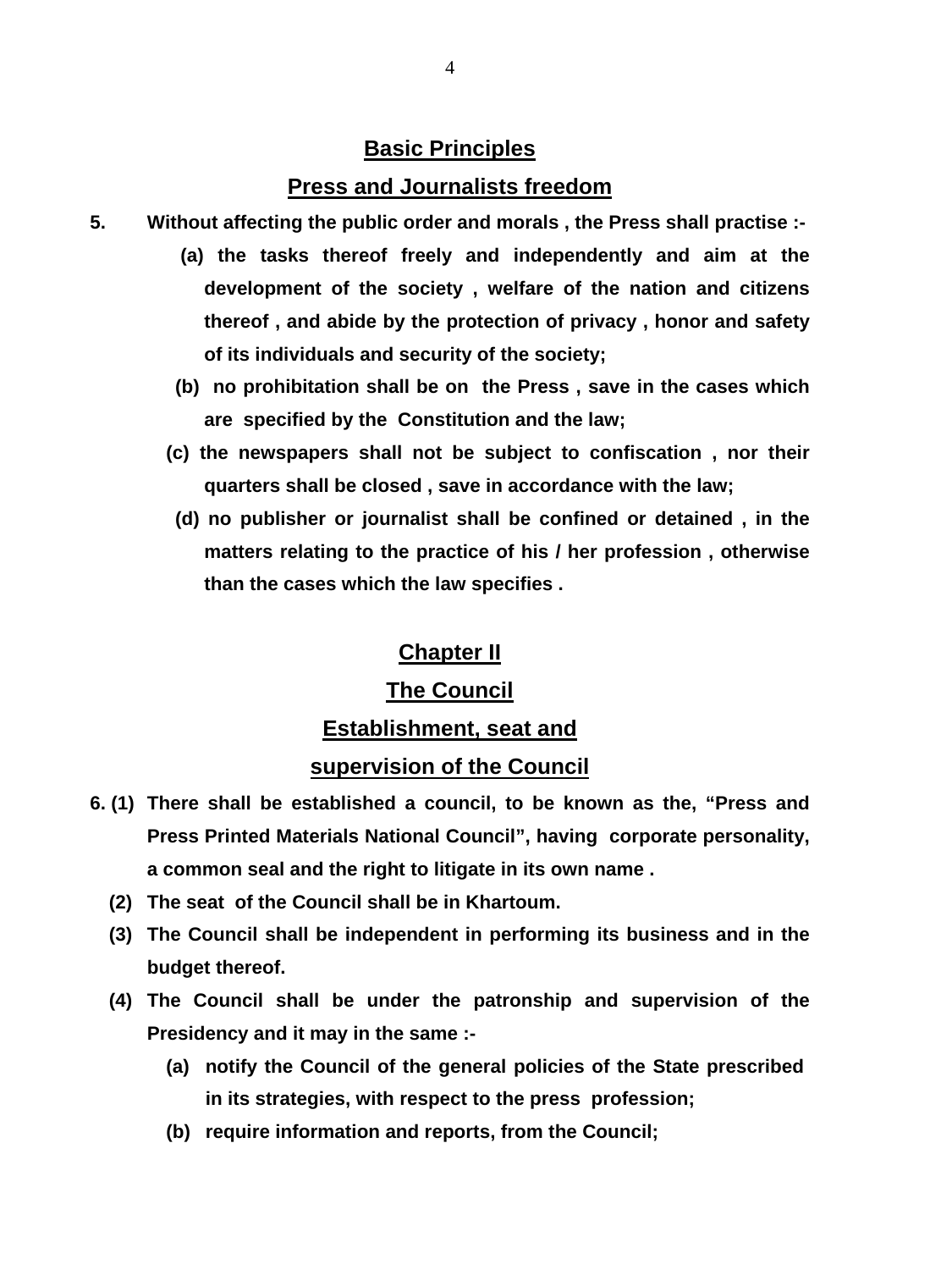## **Basic Principles**

### **Press and Journalists freedom**

- **5. Without affecting the public order and morals , the Press shall practise :-** 
	- **(a) the tasks thereof freely and independently and aim at the development of the society , welfare of the nation and citizens thereof , and abide by the protection of privacy , honor and safety of its individuals and security of the society;**
	- **(b) no prohibitation shall be on the Press , save in the cases which are specified by the Constitution and the law;**
	- **(c) the newspapers shall not be subject to confiscation , nor their quarters shall be closed , save in accordance with the law;**
	- **(d) no publisher or journalist shall be confined or detained , in the matters relating to the practice of his / her profession , otherwise than the cases which the law specifies .**

### **Chapter II**

# **The Council**

### **Establishment, seat and**

### **supervision of the Council**

- **6. (1) There shall be established a council, to be known as the, "Press and Press Printed Materials National Council", having corporate personality, a common seal and the right to litigate in its own name .** 
	- **(2) The seat of the Council shall be in Khartoum.**
	- **(3) The Council shall be independent in performing its business and in the budget thereof.**
	- **(4) The Council shall be under the patronship and supervision of the Presidency and it may in the same :-** 
		- **(a) notify the Council of the general policies of the State prescribed in its strategies, with respect to the press profession;**
		- **(b) require information and reports, from the Council;**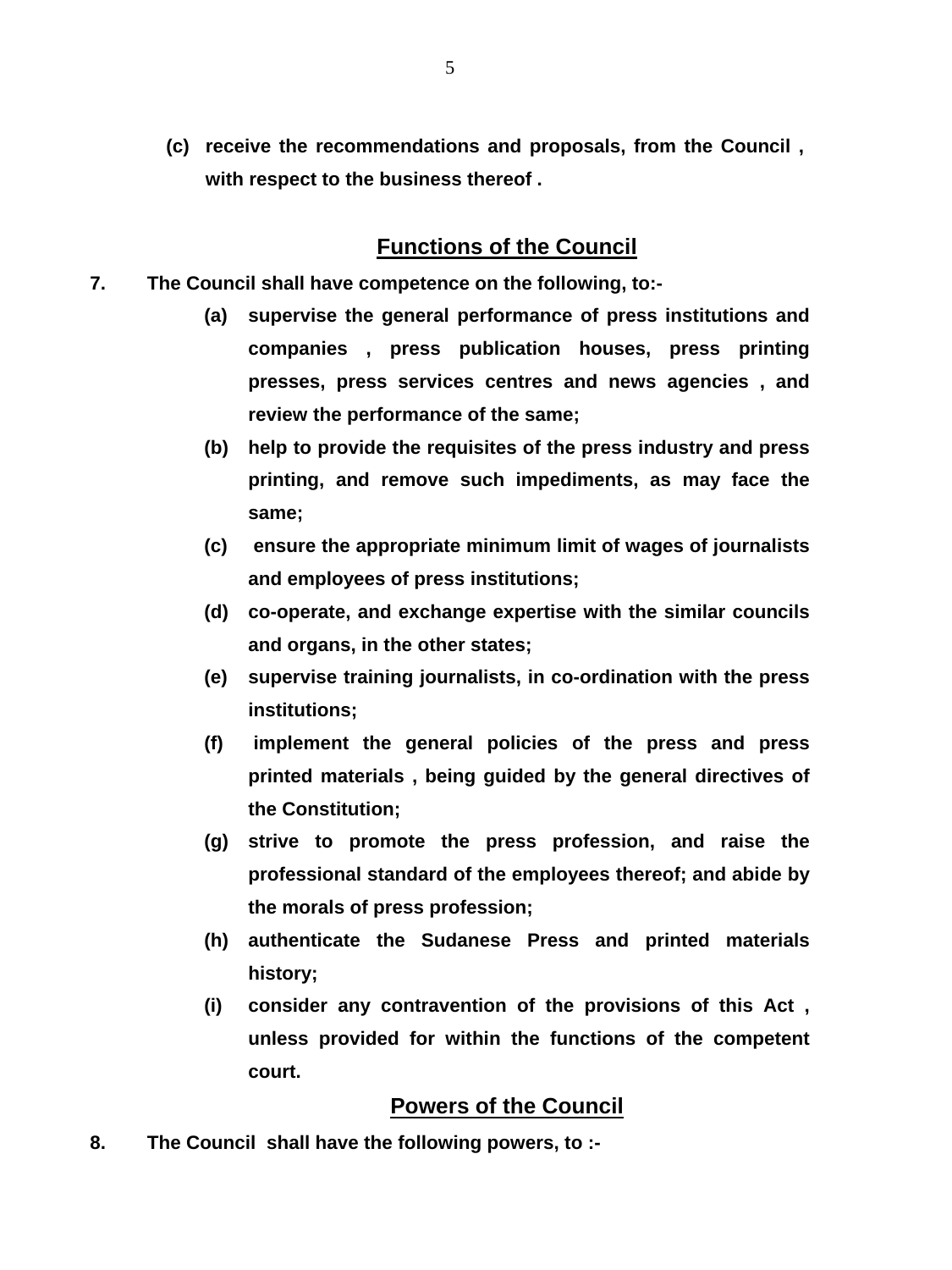**(c) receive the recommendations and proposals, from the Council , with respect to the business thereof .** 

## **Functions of the Council**

- **7. The Council shall have competence on the following, to:-** 
	- **(a) supervise the general performance of press institutions and companies , press publication houses, press printing presses, press services centres and news agencies , and review the performance of the same;**
	- **(b) help to provide the requisites of the press industry and press printing, and remove such impediments, as may face the same;**
	- **(c) ensure the appropriate minimum limit of wages of journalists and employees of press institutions;**
	- **(d) co-operate, and exchange expertise with the similar councils and organs, in the other states;**
	- **(e) supervise training journalists, in co-ordination with the press institutions;**
	- **(f) implement the general policies of the press and press printed materials , being guided by the general directives of the Constitution;**
	- **(g) strive to promote the press profession, and raise the professional standard of the employees thereof; and abide by the morals of press profession;**
	- **(h) authenticate the Sudanese Press and printed materials history;**
	- **(i) consider any contravention of the provisions of this Act , unless provided for within the functions of the competent court.**

## **Powers of the Council**

**8. The Council shall have the following powers, to :-**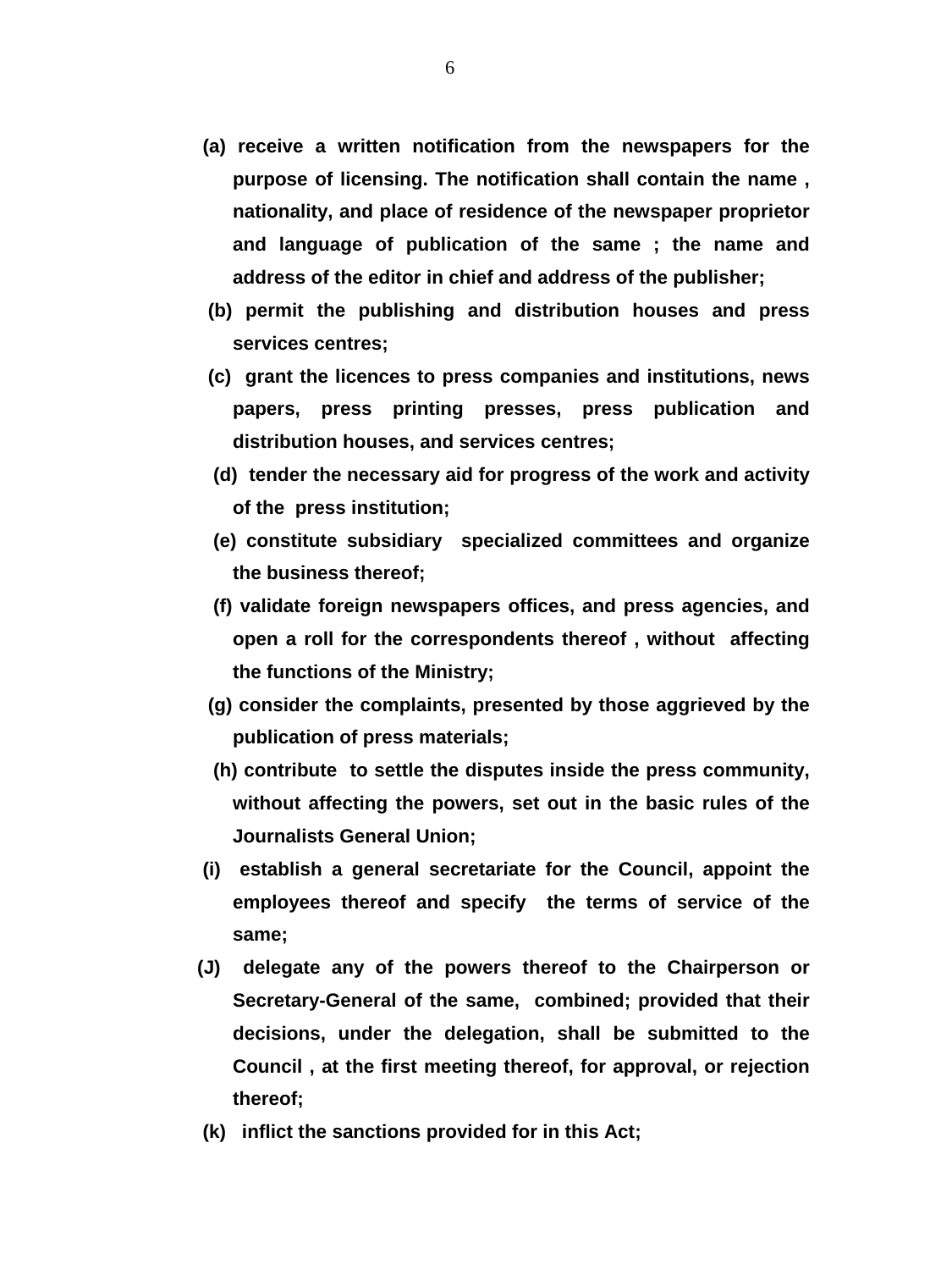- **(a) receive a written notification from the newspapers for the purpose of licensing. The notification shall contain the name , nationality, and place of residence of the newspaper proprietor and language of publication of the same ; the name and address of the editor in chief and address of the publisher;**
- **(b) permit the publishing and distribution houses and press services centres;**
- **(c) grant the licences to press companies and institutions, news papers, press printing presses, press publication and distribution houses, and services centres;**
- **(d) tender the necessary aid for progress of the work and activity of the press institution;**
- **(e) constitute subsidiary specialized committees and organize the business thereof;**
- **(f) validate foreign newspapers offices, and press agencies, and open a roll for the correspondents thereof , without affecting the functions of the Ministry;**
- **(g) consider the complaints, presented by those aggrieved by the publication of press materials;**
- **(h) contribute to settle the disputes inside the press community, without affecting the powers, set out in the basic rules of the Journalists General Union;**
- **(i) establish a general secretariate for the Council, appoint the employees thereof and specify the terms of service of the same;**
- **(J) delegate any of the powers thereof to the Chairperson or Secretary-General of the same, combined; provided that their decisions, under the delegation, shall be submitted to the Council , at the first meeting thereof, for approval, or rejection thereof;**
- **(k) inflict the sanctions provided for in this Act;**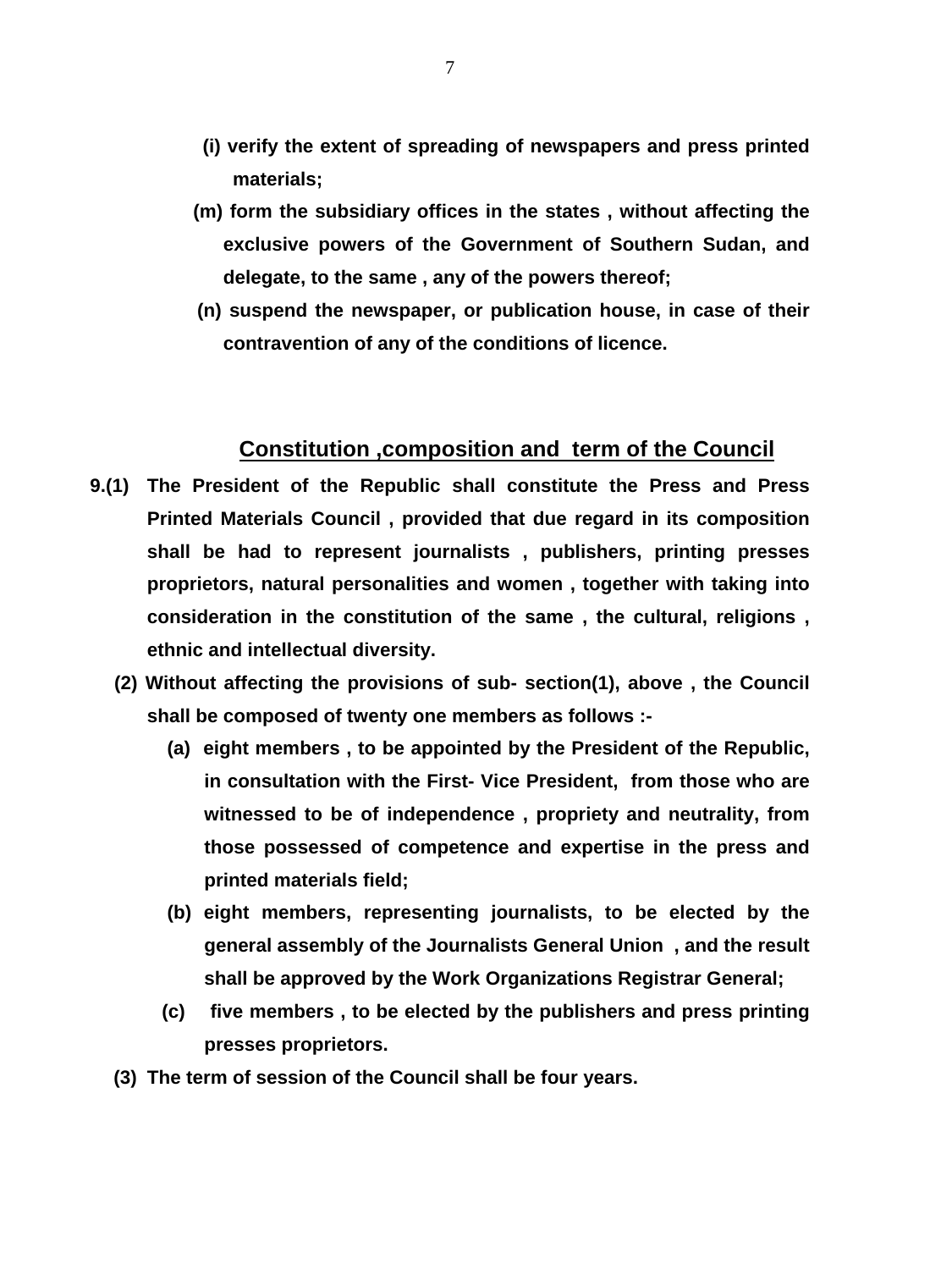- **(i) verify the extent of spreading of newspapers and press printed materials;**
- **(m) form the subsidiary offices in the states , without affecting the exclusive powers of the Government of Southern Sudan, and delegate, to the same , any of the powers thereof;**
- **(n) suspend the newspaper, or publication house, in case of their contravention of any of the conditions of licence.**

### **Constitution ,composition and term of the Council**

- **9.(1) The President of the Republic shall constitute the Press and Press Printed Materials Council , provided that due regard in its composition shall be had to represent journalists , publishers, printing presses proprietors, natural personalities and women , together with taking into consideration in the constitution of the same , the cultural, religions , ethnic and intellectual diversity.** 
	- **(2) Without affecting the provisions of sub- section(1), above , the Council shall be composed of twenty one members as follows :-** 
		- **(a) eight members , to be appointed by the President of the Republic, in consultation with the First- Vice President, from those who are witnessed to be of independence , propriety and neutrality, from those possessed of competence and expertise in the press and printed materials field;**
		- **(b) eight members, representing journalists, to be elected by the general assembly of the Journalists General Union , and the result shall be approved by the Work Organizations Registrar General;**
		- **(c) five members , to be elected by the publishers and press printing presses proprietors.**
	- **(3) The term of session of the Council shall be four years.**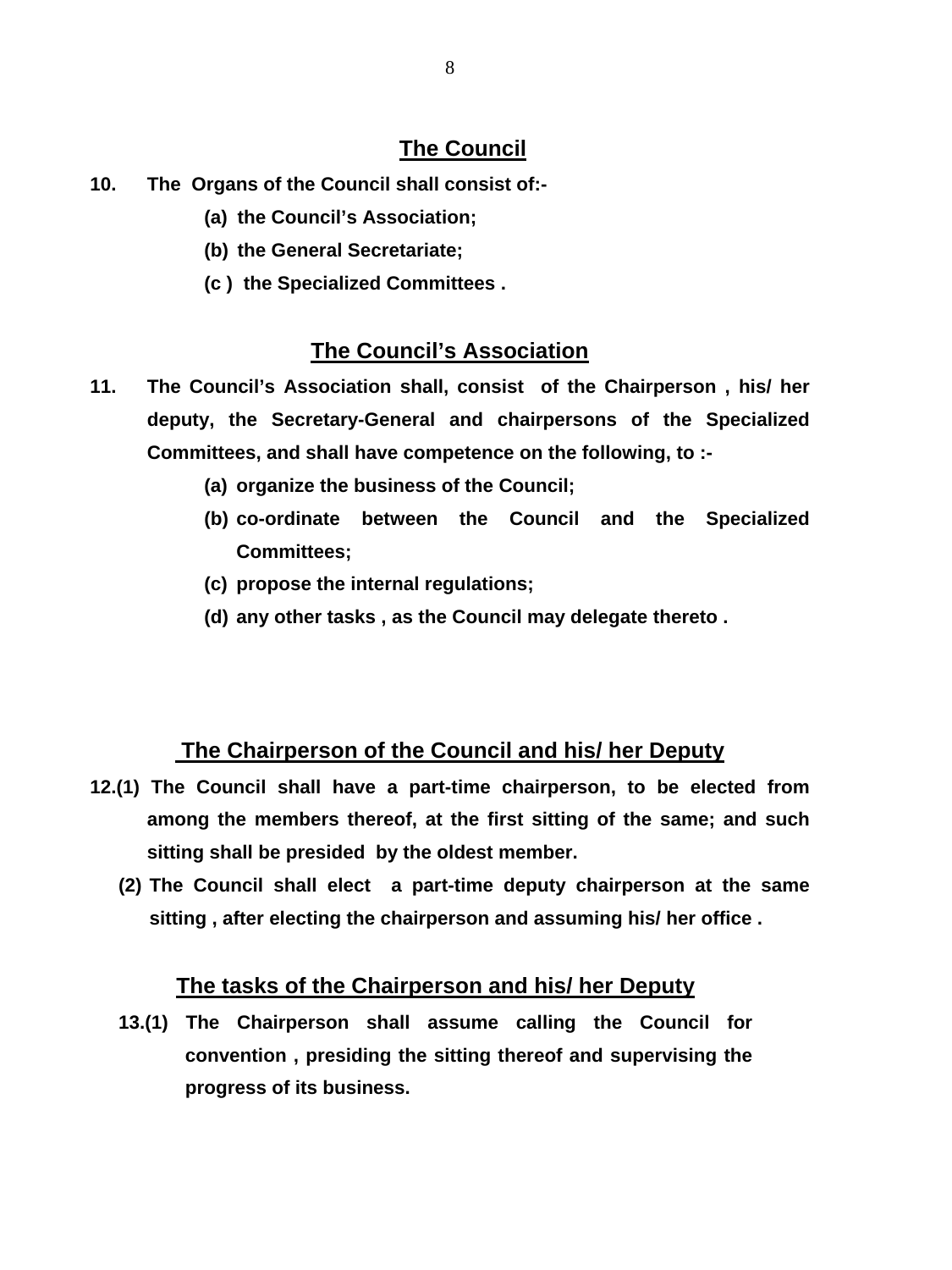# **The Council**

- **10. The Organs of the Council shall consist of:-** 
	- **(a) the Council's Association;**
	- **(b) the General Secretariate;**
	- **(c ) the Specialized Committees .**

# **The Council's Association**

- **11. The Council's Association shall, consist of the Chairperson , his/ her deputy, the Secretary-General and chairpersons of the Specialized Committees, and shall have competence on the following, to :-** 
	- **(a) organize the business of the Council;**
	- **(b) co-ordinate between the Council and the Specialized Committees;**
	- **(c) propose the internal regulations;**
	- **(d) any other tasks , as the Council may delegate thereto .**

## **The Chairperson of the Council and his/ her Deputy**

- **12.(1) The Council shall have a part-time chairperson, to be elected from among the members thereof, at the first sitting of the same; and such sitting shall be presided by the oldest member.** 
	- **(2) The Council shall elect a part-time deputy chairperson at the same sitting , after electing the chairperson and assuming his/ her office .**

## **The tasks of the Chairperson and his/ her Deputy**

**13.(1) The Chairperson shall assume calling the Council for convention , presiding the sitting thereof and supervising the progress of its business.**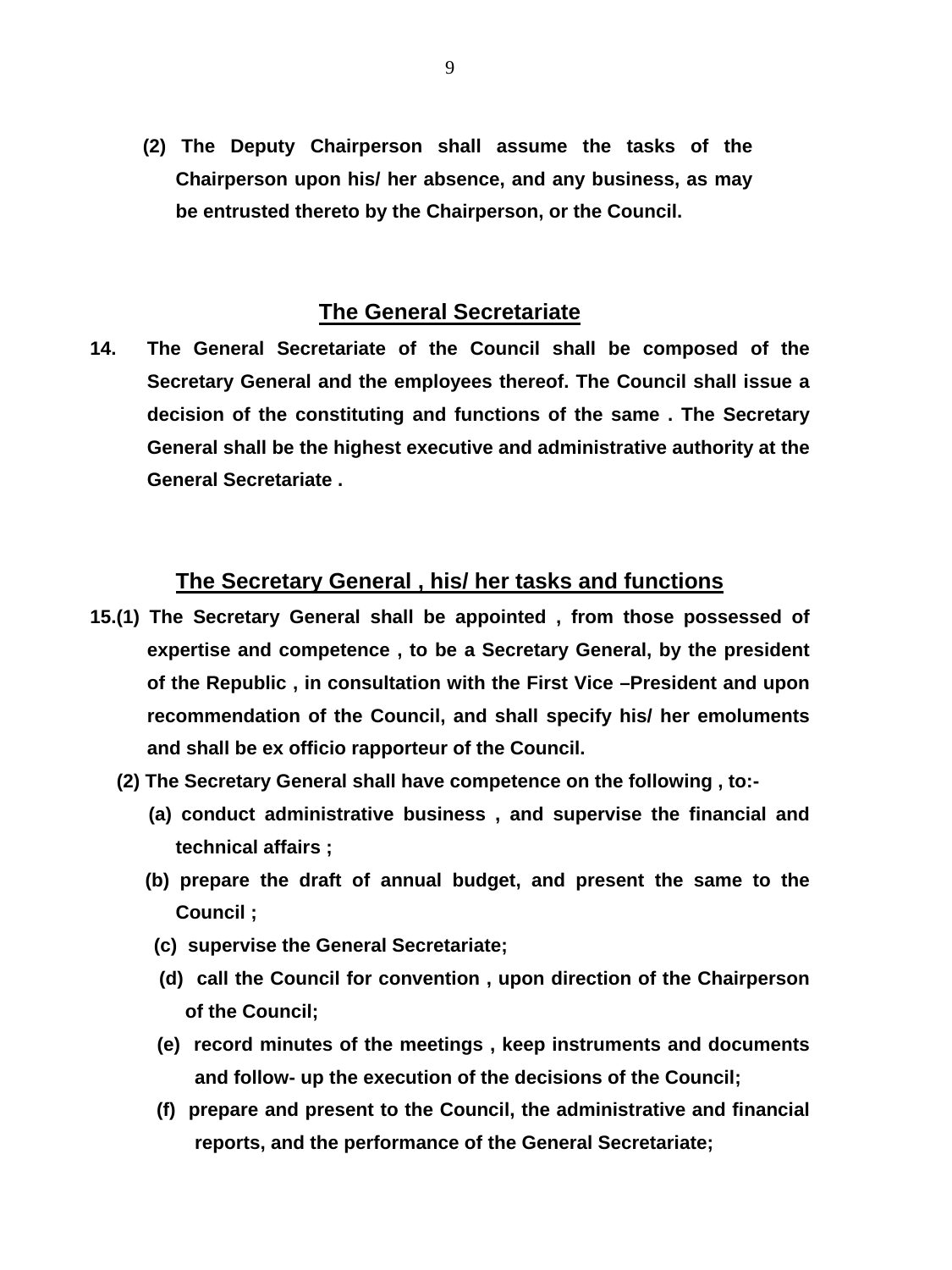**(2) The Deputy Chairperson shall assume the tasks of the Chairperson upon his/ her absence, and any business, as may be entrusted thereto by the Chairperson, or the Council.** 

#### **The General Secretariate**

**14. The General Secretariate of the Council shall be composed of the Secretary General and the employees thereof. The Council shall issue a decision of the constituting and functions of the same . The Secretary General shall be the highest executive and administrative authority at the General Secretariate .** 

### **The Secretary General , his/ her tasks and functions**

- **15.(1) The Secretary General shall be appointed , from those possessed of expertise and competence , to be a Secretary General, by the president of the Republic , in consultation with the First Vice –President and upon recommendation of the Council, and shall specify his/ her emoluments and shall be ex officio rapporteur of the Council.** 
	- **(2) The Secretary General shall have competence on the following , to:-** 
		- **(a) conduct administrative business , and supervise the financial and technical affairs ;**
		- **(b) prepare the draft of annual budget, and present the same to the Council ;**
		- **(c) supervise the General Secretariate;**
		- **(d) call the Council for convention , upon direction of the Chairperson of the Council;**
		- **(e) record minutes of the meetings , keep instruments and documents and follow- up the execution of the decisions of the Council;**
		- **(f) prepare and present to the Council, the administrative and financial reports, and the performance of the General Secretariate;**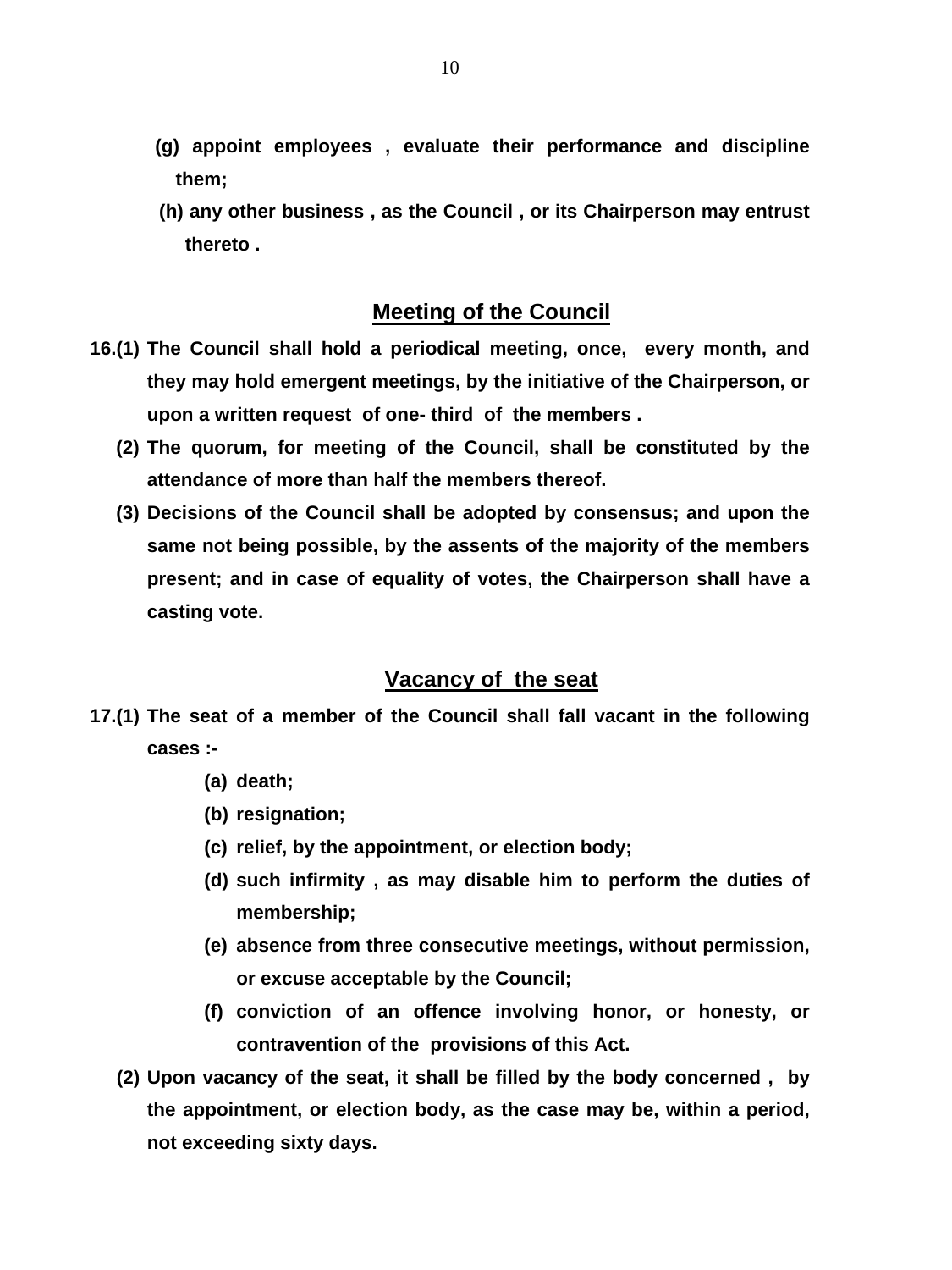- **(g) appoint employees , evaluate their performance and discipline them;**
- **(h) any other business , as the Council , or its Chairperson may entrust thereto .**

### **Meeting of the Council**

- **16.(1) The Council shall hold a periodical meeting, once, every month, and they may hold emergent meetings, by the initiative of the Chairperson, or upon a written request of one- third of the members .** 
	- **(2) The quorum, for meeting of the Council, shall be constituted by the attendance of more than half the members thereof.**
	- **(3) Decisions of the Council shall be adopted by consensus; and upon the same not being possible, by the assents of the majority of the members present; and in case of equality of votes, the Chairperson shall have a casting vote.**

### **Vacancy of the seat**

- **17.(1) The seat of a member of the Council shall fall vacant in the following cases :-** 
	- **(a) death;**
	- **(b) resignation;**
	- **(c) relief, by the appointment, or election body;**
	- **(d) such infirmity , as may disable him to perform the duties of membership;**
	- **(e) absence from three consecutive meetings, without permission, or excuse acceptable by the Council;**
	- **(f) conviction of an offence involving honor, or honesty, or contravention of the provisions of this Act.**
	- **(2) Upon vacancy of the seat, it shall be filled by the body concerned , by the appointment, or election body, as the case may be, within a period, not exceeding sixty days.**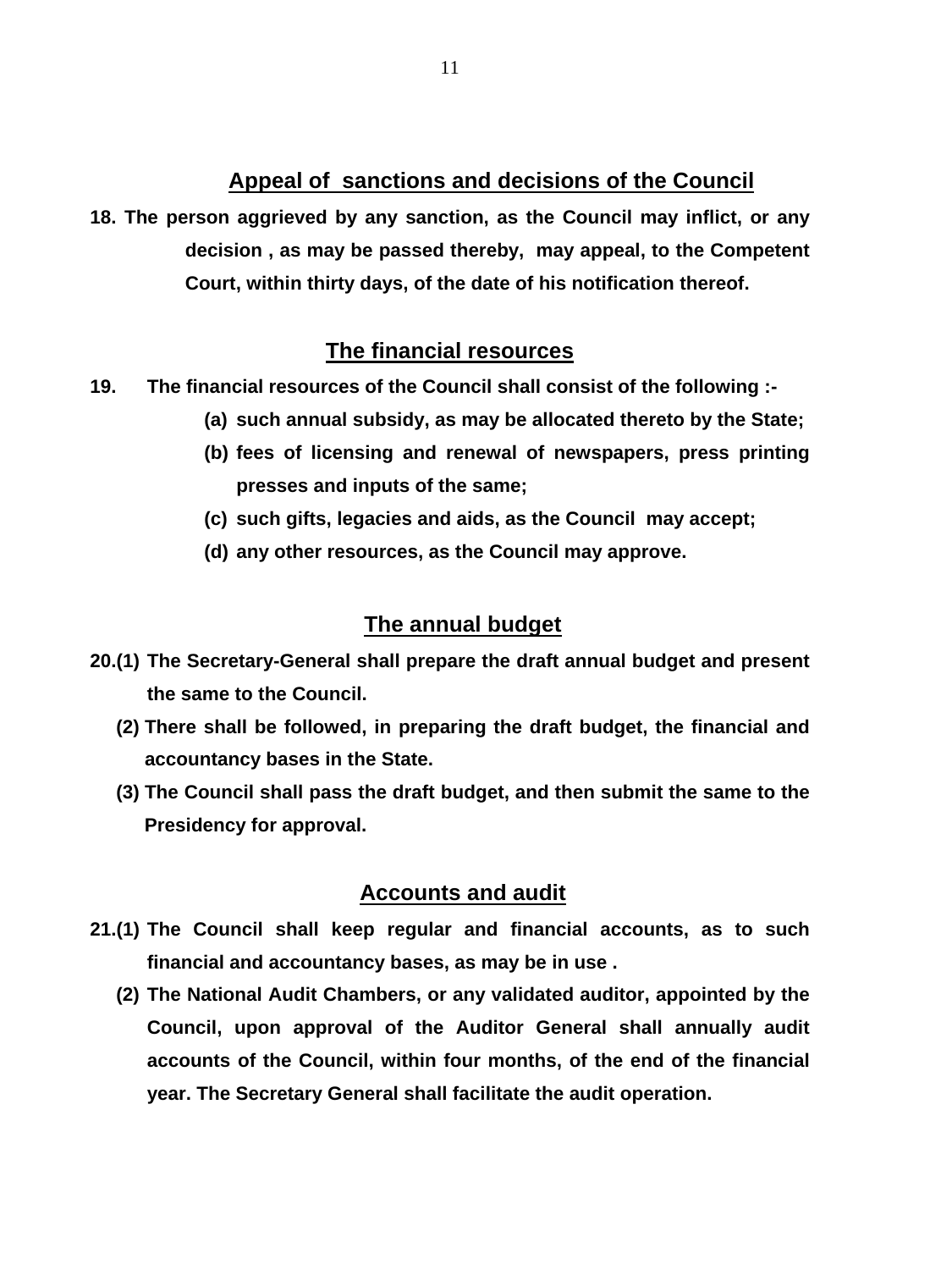## **Appeal of sanctions and decisions of the Council**

**18. The person aggrieved by any sanction, as the Council may inflict, or any decision , as may be passed thereby, may appeal, to the Competent Court, within thirty days, of the date of his notification thereof.** 

# **The financial resources**

- **19. The financial resources of the Council shall consist of the following :-** 
	- **(a) such annual subsidy, as may be allocated thereto by the State;**
	- **(b) fees of licensing and renewal of newspapers, press printing presses and inputs of the same;**
	- **(c) such gifts, legacies and aids, as the Council may accept;**
	- **(d) any other resources, as the Council may approve.**

## **The annual budget**

- **20.(1) The Secretary-General shall prepare the draft annual budget and present the same to the Council.** 
	- **(2) There shall be followed, in preparing the draft budget, the financial and accountancy bases in the State.**
	- **(3) The Council shall pass the draft budget, and then submit the same to the Presidency for approval.**

# **Accounts and audit**

- **21.(1) The Council shall keep regular and financial accounts, as to such financial and accountancy bases, as may be in use .**
	- **(2) The National Audit Chambers, or any validated auditor, appointed by the Council, upon approval of the Auditor General shall annually audit accounts of the Council, within four months, of the end of the financial year. The Secretary General shall facilitate the audit operation.**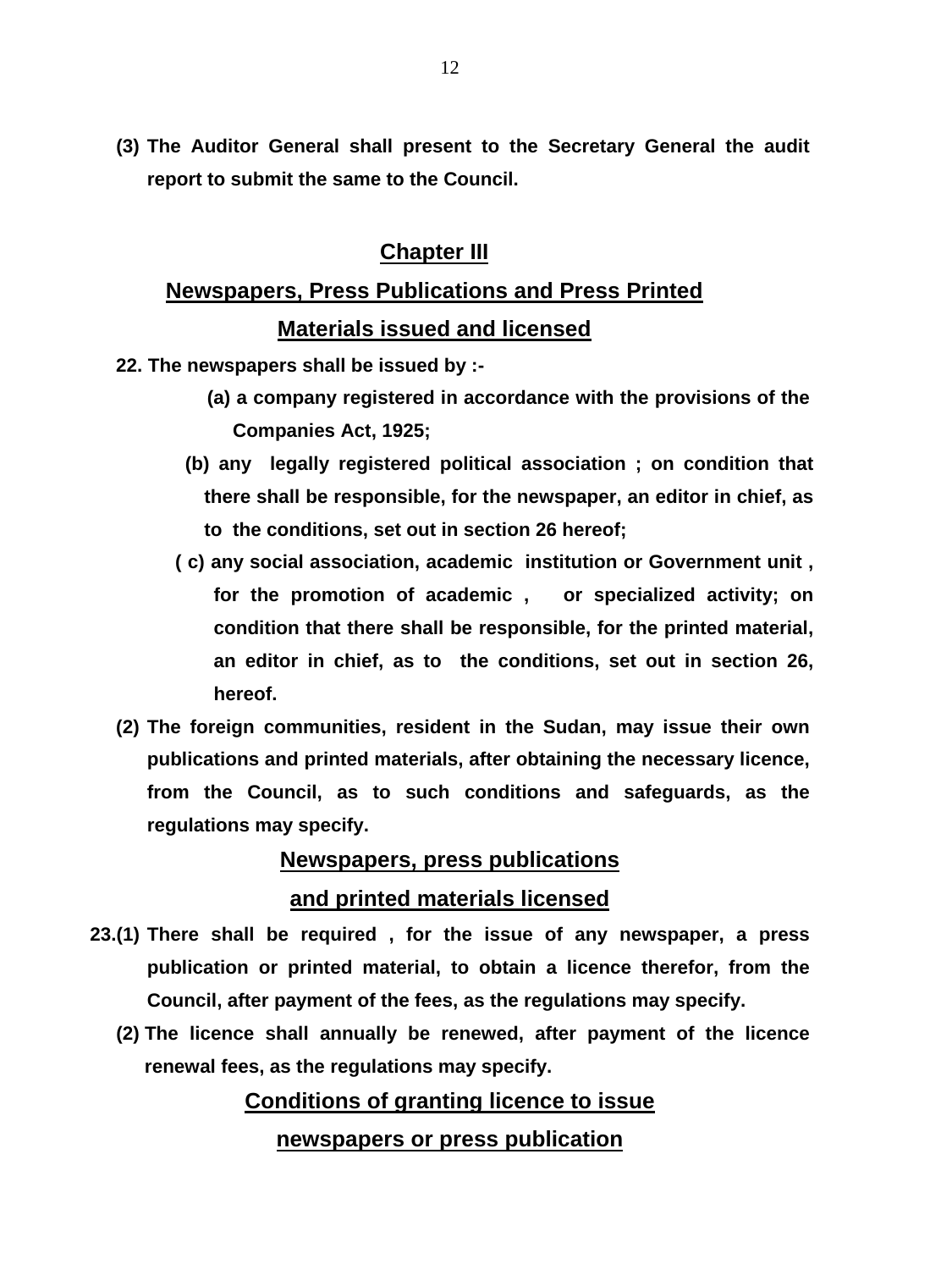**(3) The Auditor General shall present to the Secretary General the audit report to submit the same to the Council.** 

# **Chapter III**

# **Newspapers, Press Publications and Press Printed Materials issued and licensed**

- **22. The newspapers shall be issued by :-** 
	- **(a) a company registered in accordance with the provisions of the Companies Act, 1925;**
	- **(b) any legally registered political association ; on condition that there shall be responsible, for the newspaper, an editor in chief, as to the conditions, set out in section 26 hereof;**
	- **( c) any social association, academic institution or Government unit , for the promotion of academic , or specialized activity; on condition that there shall be responsible, for the printed material, an editor in chief, as to the conditions, set out in section 26, hereof.**
- **(2) The foreign communities, resident in the Sudan, may issue their own publications and printed materials, after obtaining the necessary licence, from the Council, as to such conditions and safeguards, as the regulations may specify.**

# **Newspapers, press publications and printed materials licensed**

- **23.(1) There shall be required , for the issue of any newspaper, a press publication or printed material, to obtain a licence therefor, from the Council, after payment of the fees, as the regulations may specify.** 
	- **(2) The licence shall annually be renewed, after payment of the licence renewal fees, as the regulations may specify.**

# **Conditions of granting licence to issue**

## **newspapers or press publication**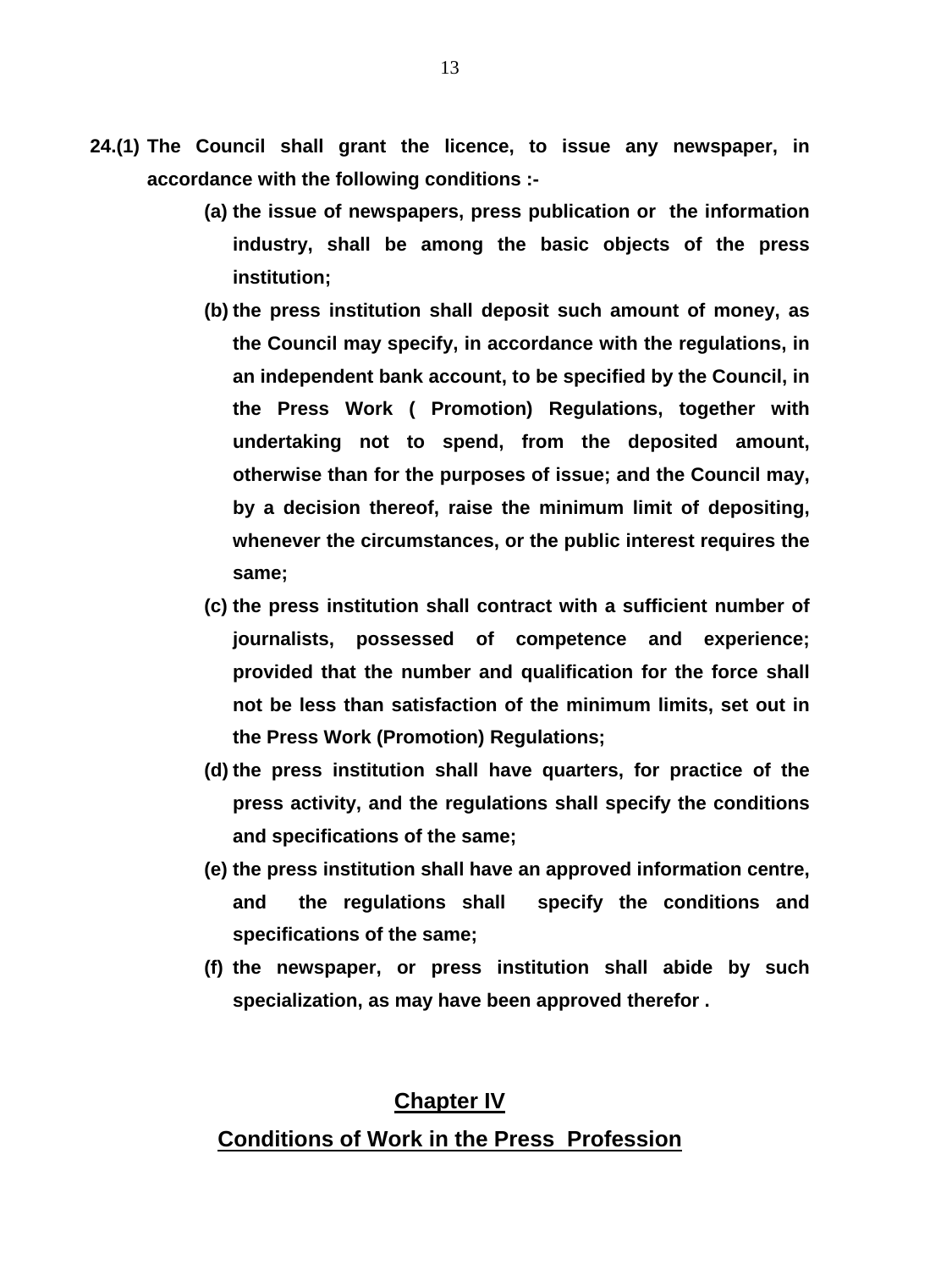- **24.(1) The Council shall grant the licence, to issue any newspaper, in accordance with the following conditions :-** 
	- **(a) the issue of newspapers, press publication or the information industry, shall be among the basic objects of the press institution;**
	- **(b) the press institution shall deposit such amount of money, as the Council may specify, in accordance with the regulations, in an independent bank account, to be specified by the Council, in the Press Work ( Promotion) Regulations, together with undertaking not to spend, from the deposited amount, otherwise than for the purposes of issue; and the Council may, by a decision thereof, raise the minimum limit of depositing, whenever the circumstances, or the public interest requires the same;**
	- **(c) the press institution shall contract with a sufficient number of journalists, possessed of competence and experience; provided that the number and qualification for the force shall not be less than satisfaction of the minimum limits, set out in the Press Work (Promotion) Regulations;**
	- **(d) the press institution shall have quarters, for practice of the press activity, and the regulations shall specify the conditions and specifications of the same;**
	- **(e) the press institution shall have an approved information centre, and the regulations shall specify the conditions and specifications of the same;**
	- **(f) the newspaper, or press institution shall abide by such specialization, as may have been approved therefor .**

### **Chapter IV**

### **Conditions of Work in the Press Profession**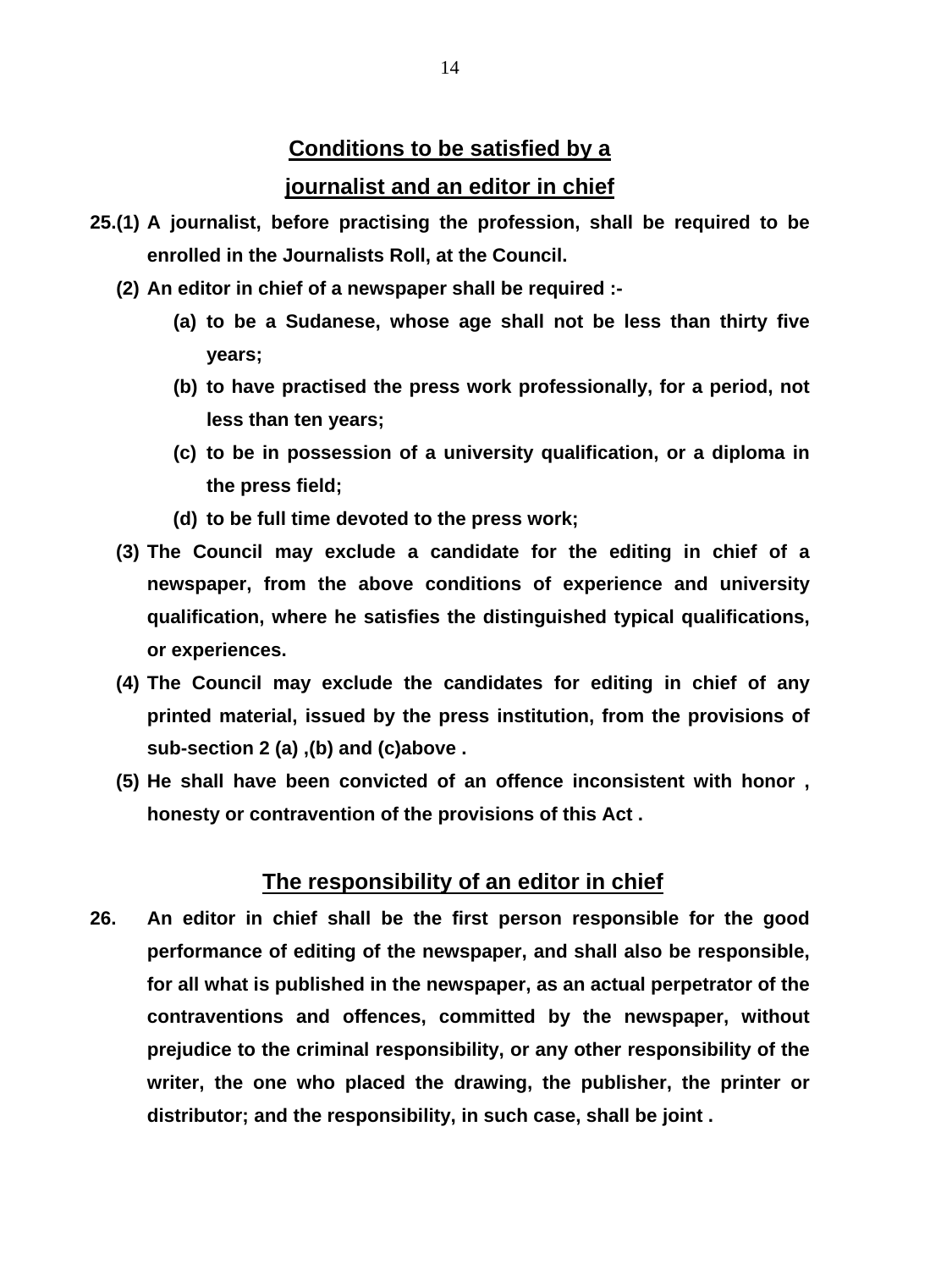# **Conditions to be satisfied by a journalist and an editor in chief**

- **25.(1) A journalist, before practising the profession, shall be required to be enrolled in the Journalists Roll, at the Council.** 
	- **(2) An editor in chief of a newspaper shall be required :-** 
		- **(a) to be a Sudanese, whose age shall not be less than thirty five years;**
		- **(b) to have practised the press work professionally, for a period, not less than ten years;**
		- **(c) to be in possession of a university qualification, or a diploma in the press field;**
		- **(d) to be full time devoted to the press work;**
	- **(3) The Council may exclude a candidate for the editing in chief of a newspaper, from the above conditions of experience and university qualification, where he satisfies the distinguished typical qualifications, or experiences.**
	- **(4) The Council may exclude the candidates for editing in chief of any printed material, issued by the press institution, from the provisions of sub-section 2 (a) ,(b) and (c)above .**
	- **(5) He shall have been convicted of an offence inconsistent with honor , honesty or contravention of the provisions of this Act .**

### **The responsibility of an editor in chief**

**26. An editor in chief shall be the first person responsible for the good performance of editing of the newspaper, and shall also be responsible, for all what is published in the newspaper, as an actual perpetrator of the contraventions and offences, committed by the newspaper, without prejudice to the criminal responsibility, or any other responsibility of the writer, the one who placed the drawing, the publisher, the printer or distributor; and the responsibility, in such case, shall be joint .**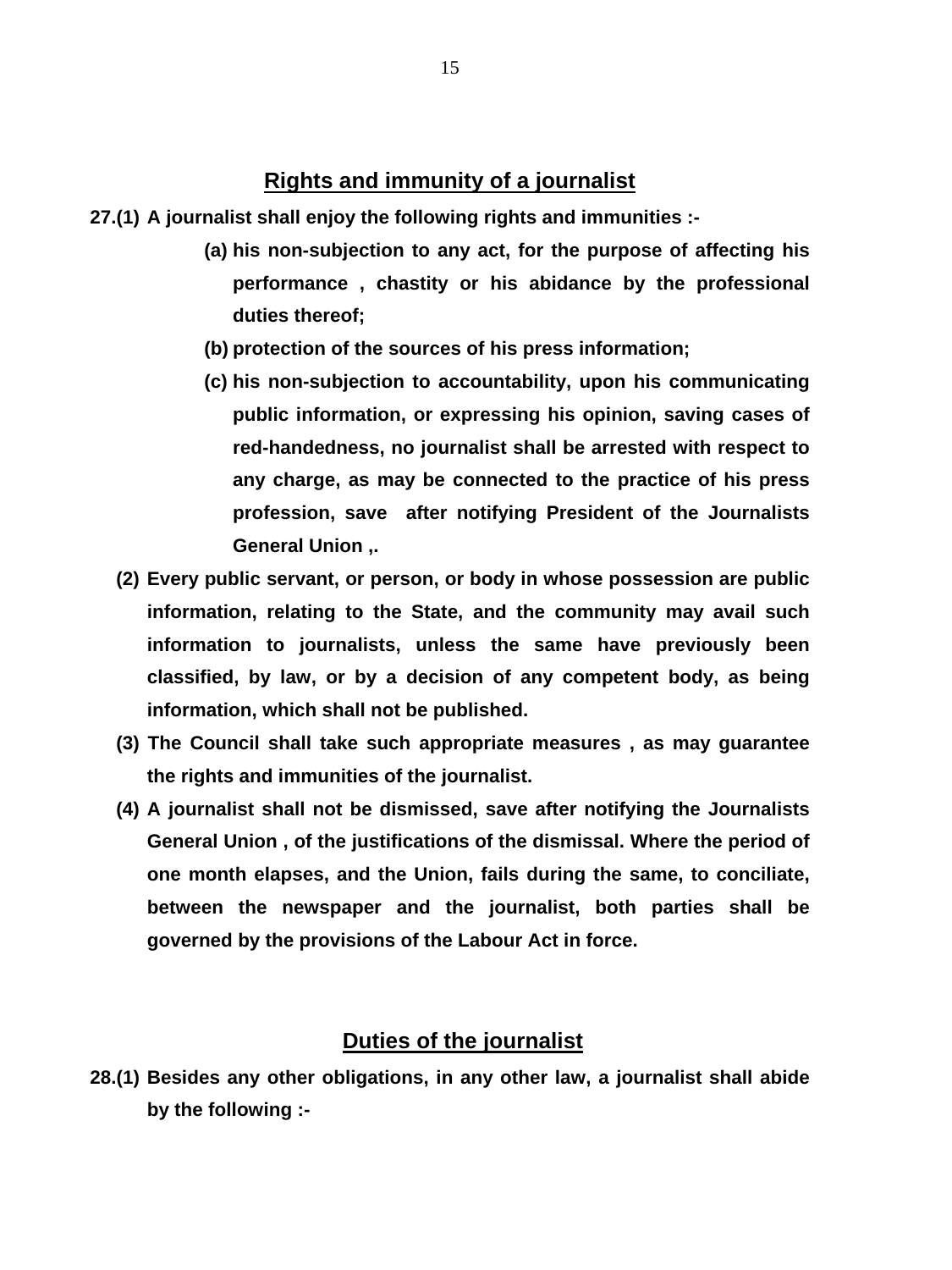## **Rights and immunity of a journalist**

**27.(1) A journalist shall enjoy the following rights and immunities :-** 

- **(a) his non-subjection to any act, for the purpose of affecting his performance , chastity or his abidance by the professional duties thereof;**
- **(b) protection of the sources of his press information;**
- **(c) his non-subjection to accountability, upon his communicating public information, or expressing his opinion, saving cases of red-handedness, no journalist shall be arrested with respect to any charge, as may be connected to the practice of his press profession, save after notifying President of the Journalists General Union ,.**
- **(2) Every public servant, or person, or body in whose possession are public information, relating to the State, and the community may avail such information to journalists, unless the same have previously been classified, by law, or by a decision of any competent body, as being information, which shall not be published.**
- **(3) The Council shall take such appropriate measures , as may guarantee the rights and immunities of the journalist.**
- **(4) A journalist shall not be dismissed, save after notifying the Journalists General Union , of the justifications of the dismissal. Where the period of one month elapses, and the Union, fails during the same, to conciliate, between the newspaper and the journalist, both parties shall be governed by the provisions of the Labour Act in force.**

### **Duties of the journalist**

**28.(1) Besides any other obligations, in any other law, a journalist shall abide by the following :-**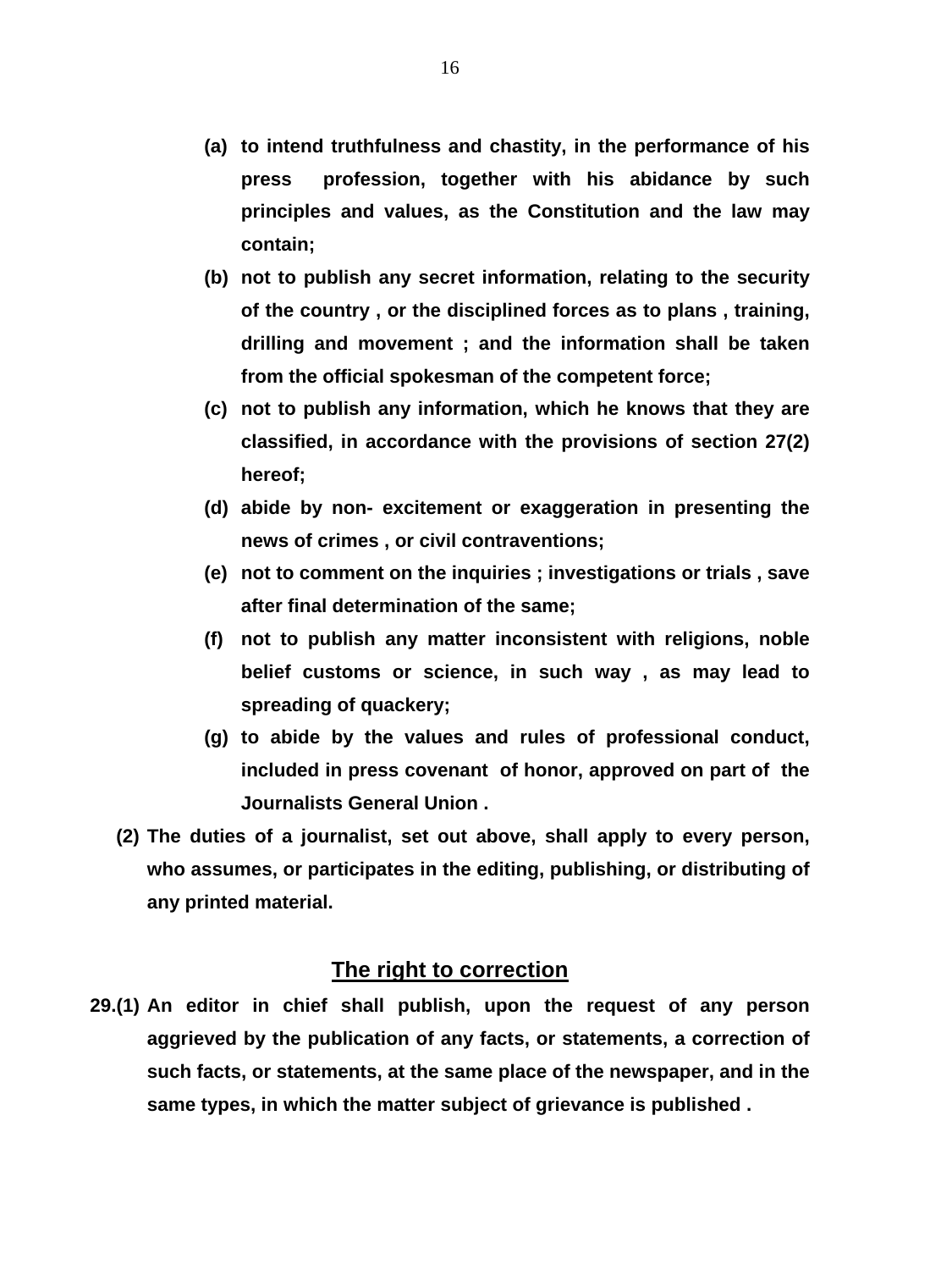- **(a) to intend truthfulness and chastity, in the performance of his press profession, together with his abidance by such principles and values, as the Constitution and the law may contain;**
- **(b) not to publish any secret information, relating to the security of the country , or the disciplined forces as to plans , training, drilling and movement ; and the information shall be taken from the official spokesman of the competent force;**
- **(c) not to publish any information, which he knows that they are classified, in accordance with the provisions of section 27(2) hereof;**
- **(d) abide by non- excitement or exaggeration in presenting the news of crimes , or civil contraventions;**
- **(e) not to comment on the inquiries ; investigations or trials , save after final determination of the same;**
- **(f) not to publish any matter inconsistent with religions, noble belief customs or science, in such way , as may lead to spreading of quackery;**
- **(g) to abide by the values and rules of professional conduct, included in press covenant of honor, approved on part of the Journalists General Union .**
- **(2) The duties of a journalist, set out above, shall apply to every person, who assumes, or participates in the editing, publishing, or distributing of any printed material.**

#### **The right to correction**

**29.(1) An editor in chief shall publish, upon the request of any person aggrieved by the publication of any facts, or statements, a correction of such facts, or statements, at the same place of the newspaper, and in the same types, in which the matter subject of grievance is published .**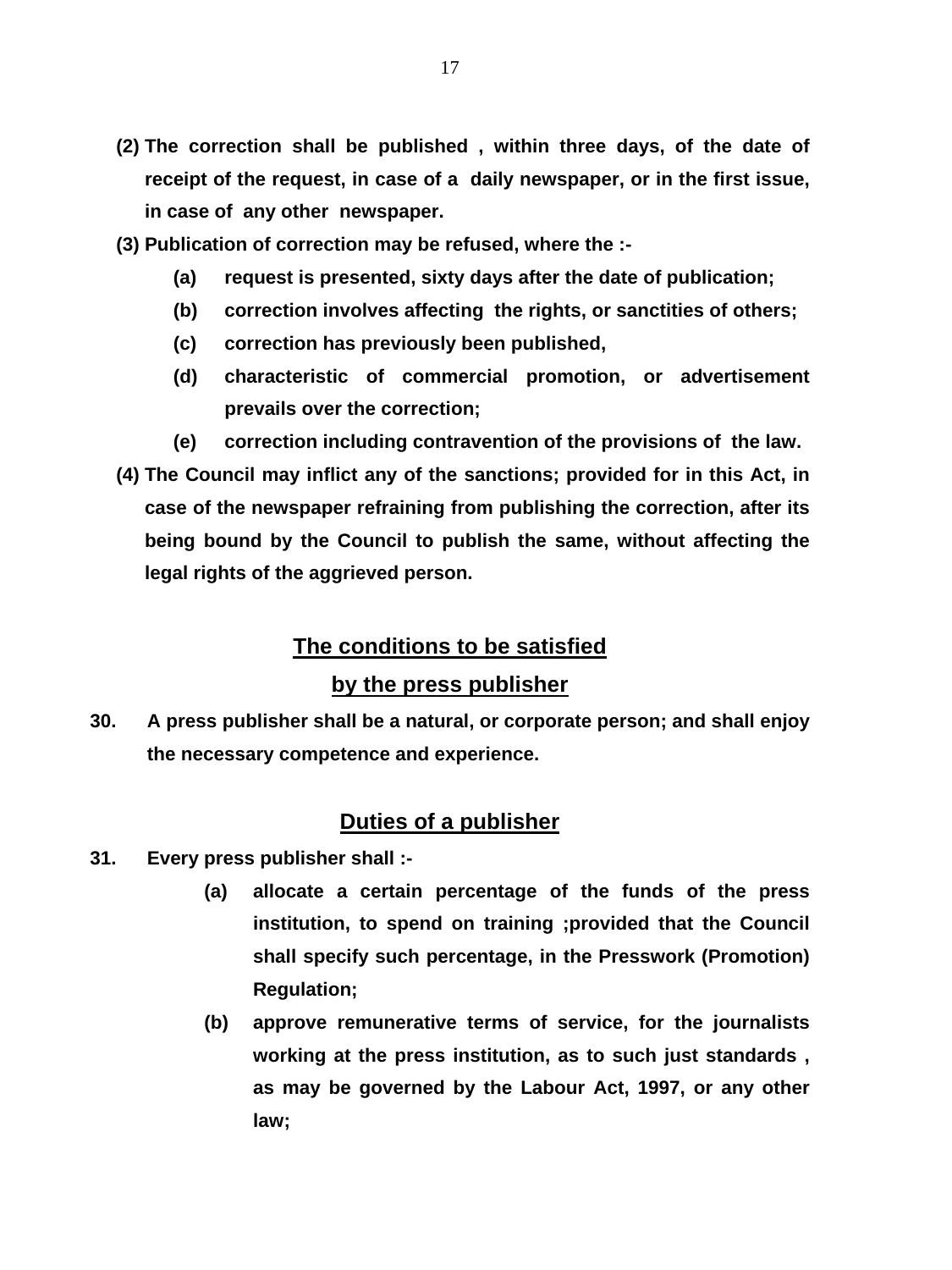- **(2) The correction shall be published , within three days, of the date of receipt of the request, in case of a daily newspaper, or in the first issue, in case of any other newspaper.**
- **(3) Publication of correction may be refused, where the :-** 
	- **(a) request is presented, sixty days after the date of publication;**
	- **(b) correction involves affecting the rights, or sanctities of others;**
	- **(c) correction has previously been published,**
	- **(d) characteristic of commercial promotion, or advertisement prevails over the correction;**
	- **(e) correction including contravention of the provisions of the law.**
- **(4) The Council may inflict any of the sanctions; provided for in this Act, in case of the newspaper refraining from publishing the correction, after its being bound by the Council to publish the same, without affecting the legal rights of the aggrieved person.**

# **The conditions to be satisfied**

## **by the press publisher**

**30. A press publisher shall be a natural, or corporate person; and shall enjoy the necessary competence and experience.** 

## **Duties of a publisher**

- **31. Every press publisher shall :-** 
	- **(a) allocate a certain percentage of the funds of the press institution, to spend on training ;provided that the Council shall specify such percentage, in the Presswork (Promotion) Regulation;**
	- **(b) approve remunerative terms of service, for the journalists working at the press institution, as to such just standards , as may be governed by the Labour Act, 1997, or any other law;**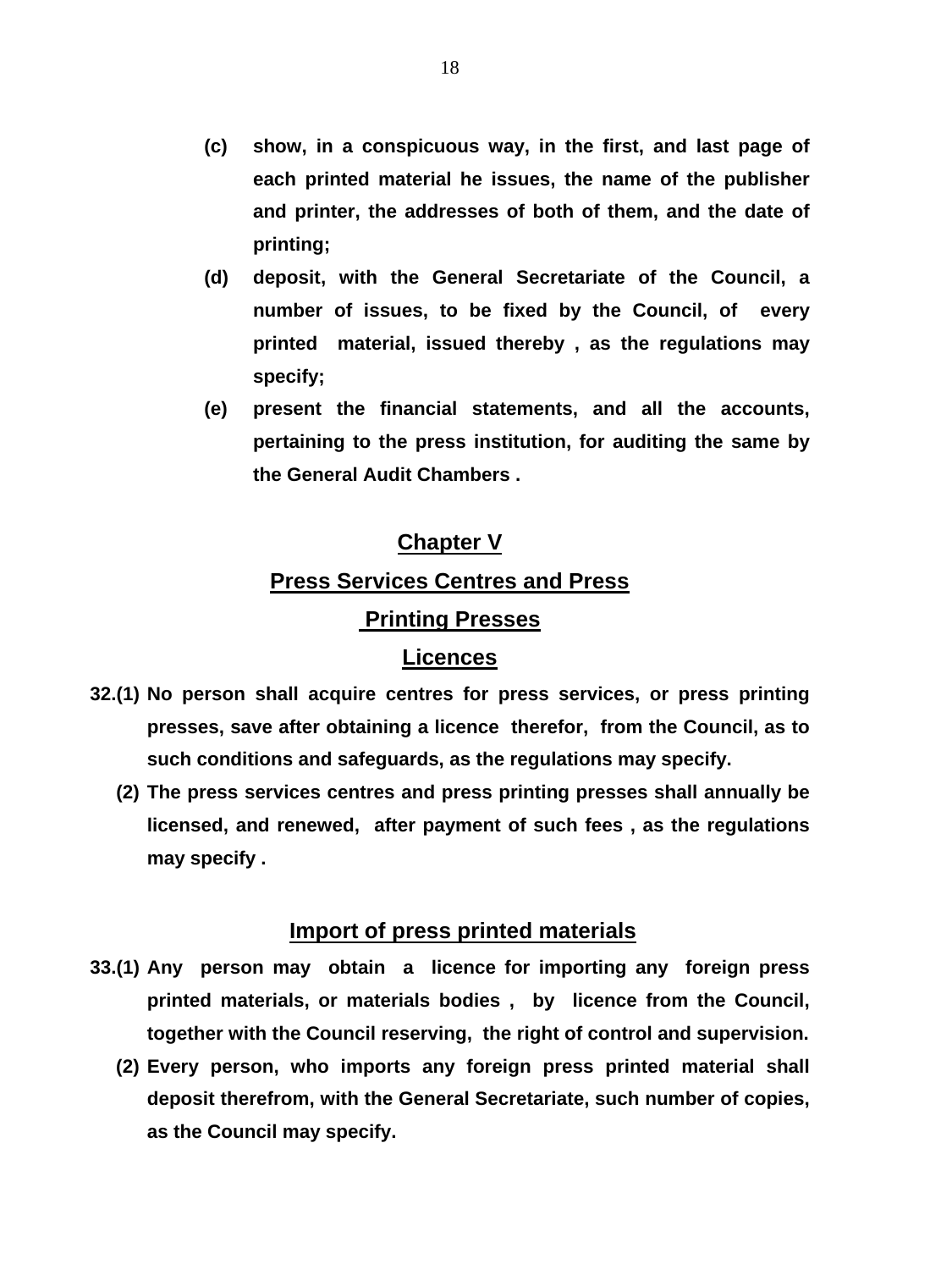- **(c) show, in a conspicuous way, in the first, and last page of each printed material he issues, the name of the publisher and printer, the addresses of both of them, and the date of printing;**
- **(d) deposit, with the General Secretariate of the Council, a number of issues, to be fixed by the Council, of every printed material, issued thereby , as the regulations may specify;**
- **(e) present the financial statements, and all the accounts, pertaining to the press institution, for auditing the same by the General Audit Chambers .**

### **Chapter V**

### **Press Services Centres and Press**

### **Printing Presses**

### **Licences**

- **32.(1) No person shall acquire centres for press services, or press printing presses, save after obtaining a licence therefor, from the Council, as to such conditions and safeguards, as the regulations may specify.** 
	- **(2) The press services centres and press printing presses shall annually be licensed, and renewed, after payment of such fees , as the regulations may specify .**

#### **Import of press printed materials**

- **33.(1) Any person may obtain a licence for importing any foreign press printed materials, or materials bodies , by licence from the Council, together with the Council reserving, the right of control and supervision.** 
	- **(2) Every person, who imports any foreign press printed material shall deposit therefrom, with the General Secretariate, such number of copies, as the Council may specify.**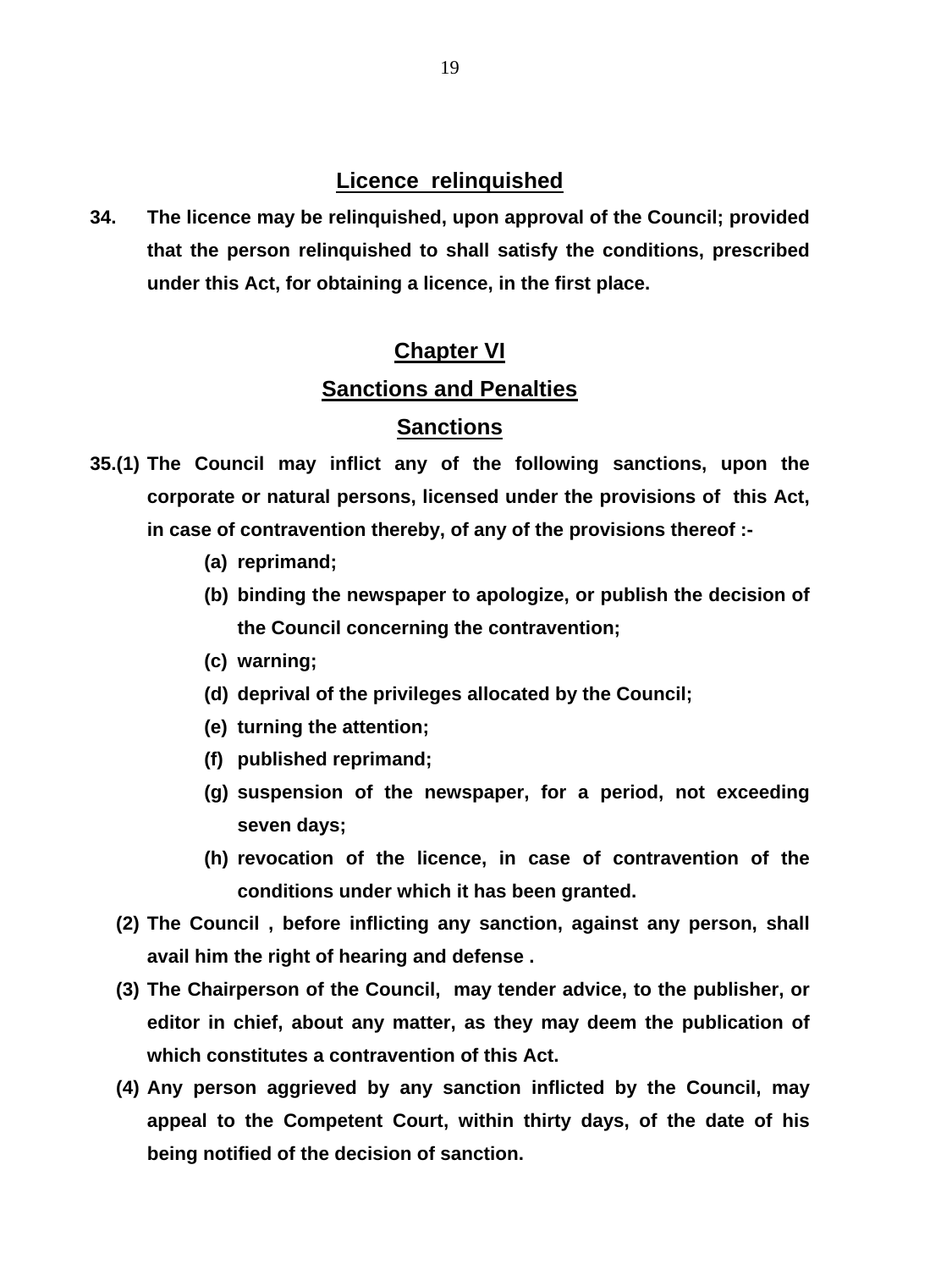# **Licence relinquished**

**34. The licence may be relinquished, upon approval of the Council; provided that the person relinquished to shall satisfy the conditions, prescribed under this Act, for obtaining a licence, in the first place.** 

# **Chapter VI**

# **Sanctions and Penalties**

# **Sanctions**

- **35.(1) The Council may inflict any of the following sanctions, upon the corporate or natural persons, licensed under the provisions of this Act, in case of contravention thereby, of any of the provisions thereof :-** 
	- **(a) reprimand;**
	- **(b) binding the newspaper to apologize, or publish the decision of the Council concerning the contravention;**
	- **(c) warning;**
	- **(d) deprival of the privileges allocated by the Council;**
	- **(e) turning the attention;**
	- **(f) published reprimand;**
	- **(g) suspension of the newspaper, for a period, not exceeding seven days;**
	- **(h) revocation of the licence, in case of contravention of the conditions under which it has been granted.**
	- **(2) The Council , before inflicting any sanction, against any person, shall avail him the right of hearing and defense .**
	- **(3) The Chairperson of the Council, may tender advice, to the publisher, or editor in chief, about any matter, as they may deem the publication of which constitutes a contravention of this Act.**
	- **(4) Any person aggrieved by any sanction inflicted by the Council, may appeal to the Competent Court, within thirty days, of the date of his being notified of the decision of sanction.**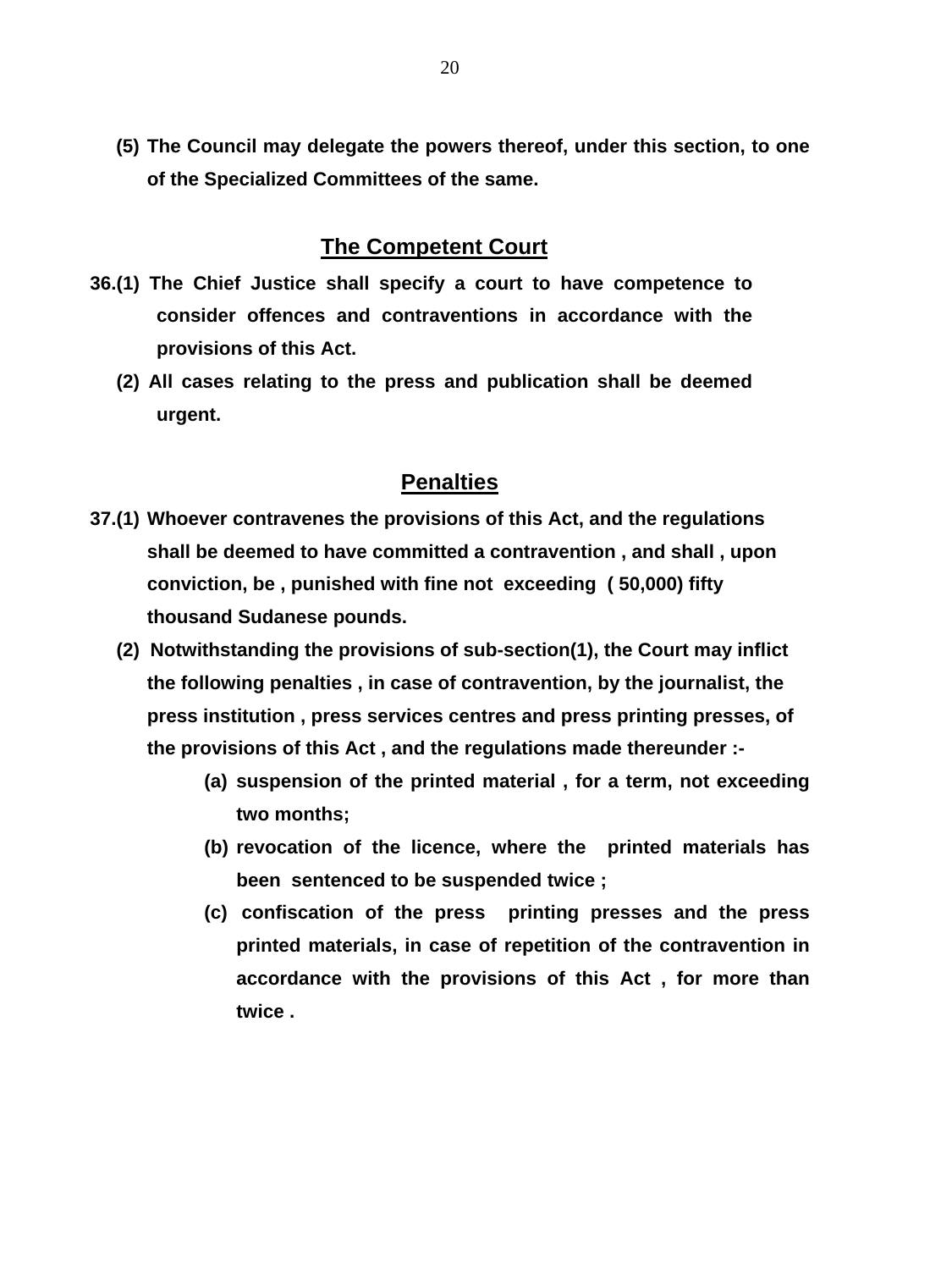**(5) The Council may delegate the powers thereof, under this section, to one of the Specialized Committees of the same.** 

### **The Competent Court**

- **36.(1) The Chief Justice shall specify a court to have competence to consider offences and contraventions in accordance with the provisions of this Act.** 
	- **(2) All cases relating to the press and publication shall be deemed urgent.**

### **Penalties**

- **37.(1) Whoever contravenes the provisions of this Act, and the regulations shall be deemed to have committed a contravention , and shall , upon conviction, be , punished with fine not exceeding ( 50,000) fifty thousand Sudanese pounds.** 
	- **(2) Notwithstanding the provisions of sub-section(1), the Court may inflict the following penalties , in case of contravention, by the journalist, the press institution , press services centres and press printing presses, of the provisions of this Act , and the regulations made thereunder :-**
		- **(a) suspension of the printed material , for a term, not exceeding two months;**
		- **(b) revocation of the licence, where the printed materials has been sentenced to be suspended twice ;**
		- **(c) confiscation of the press printing presses and the press printed materials, in case of repetition of the contravention in accordance with the provisions of this Act , for more than twice .**